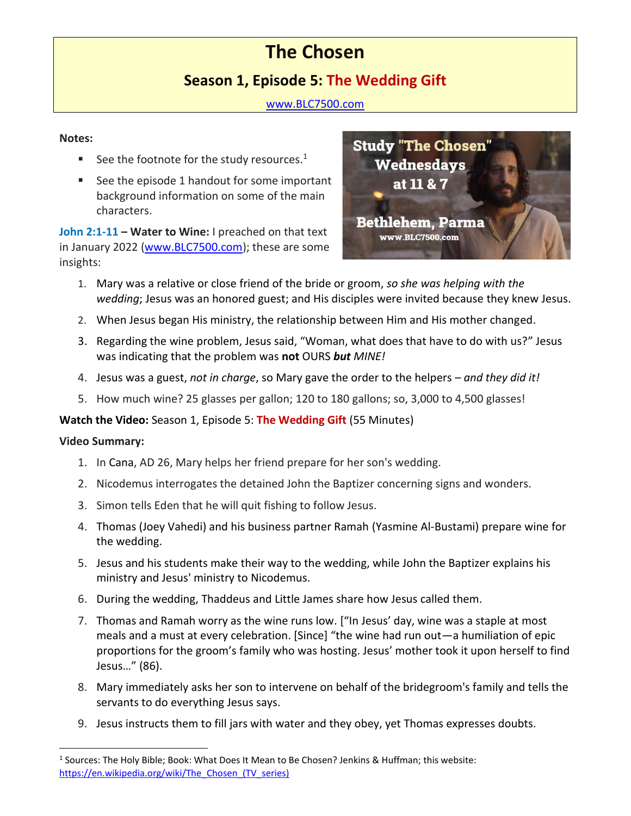# **The Chosen**

## **Season 1, Episode 5: The Wedding Gift**

[www.BLC7500.com](http://www.blc7500.com/)

#### **Notes:**

- See the footnote for the study resources. $1$
- See the episode 1 handout for some important background information on some of the main characters.

**John 2:1-11 – Water to Wine:** I preached on that text in January 2022 [\(www.BLC7500.com\)](http://www.blc7500.com/); these are some insights:



- 1. Mary was a relative or close friend of the bride or groom, *so she was helping with the wedding*; Jesus was an honored guest; and His disciples were invited because they knew Jesus.
- 2. When Jesus began His ministry, the relationship between Him and His mother changed.
- 3. Regarding the wine problem, Jesus said, "Woman, what does that have to do with us?" Jesus was indicating that the problem was **not** OURS *but MINE!*
- 4. Jesus was a guest, *not in charge*, so Mary gave the order to the helpers *and they did it!*
- 5. How much wine? 25 glasses per gallon; 120 to 180 gallons; so, 3,000 to 4,500 glasses!

### **Watch the Video:** Season 1, Episode 5: **The Wedding Gift** (55 Minutes)

#### **Video Summary:**

- 1. In Cana, AD 26, Mary helps her friend prepare for her son's wedding.
- 2. Nicodemus interrogates the detained John the Baptizer concerning signs and wonders.
- 3. Simon tells Eden that he will quit fishing to follow Jesus.
- 4. Thomas (Joey Vahedi) and his business partner Ramah (Yasmine Al-Bustami) prepare wine for the wedding.
- 5. Jesus and his students make their way to the wedding, while John the Baptizer explains his ministry and Jesus' ministry to Nicodemus.
- 6. During the wedding, Thaddeus and Little James share how Jesus called them.
- 7. Thomas and Ramah worry as the wine runs low. ["In Jesus' day, wine was a staple at most meals and a must at every celebration. [Since] "the wine had run out—a humiliation of epic proportions for the groom's family who was hosting. Jesus' mother took it upon herself to find Jesus…" (86).
- 8. Mary immediately asks her son to intervene on behalf of the bridegroom's family and tells the servants to do everything Jesus says.
- 9. Jesus instructs them to fill jars with water and they obey, yet Thomas expresses doubts.

<sup>&</sup>lt;sup>1</sup> Sources: The Holy Bible; Book: What Does It Mean to Be Chosen? Jenkins & Huffman; this website: https://en.wikipedia.org/wiki/The Chosen (TV series)